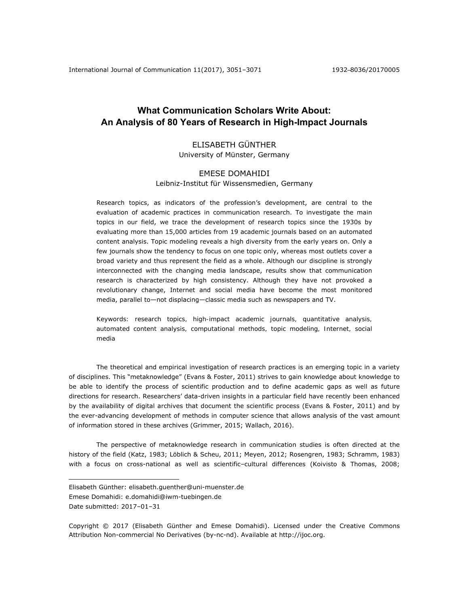# **What Communication Scholars Write About: An Analysis of 80 Years of Research in High-Impact Journals**

## ELISABETH GÜNTHER University of Münster, Germany

#### EMESE DOMAHIDI

#### Leibniz-Institut für Wissensmedien, Germany

Research topics, as indicators of the profession's development, are central to the evaluation of academic practices in communication research. To investigate the main topics in our field, we trace the development of research topics since the 1930s by evaluating more than 15,000 articles from 19 academic journals based on an automated content analysis. Topic modeling reveals a high diversity from the early years on. Only a few journals show the tendency to focus on one topic only, whereas most outlets cover a broad variety and thus represent the field as a whole. Although our discipline is strongly interconnected with the changing media landscape, results show that communication research is characterized by high consistency. Although they have not provoked a revolutionary change, Internet and social media have become the most monitored media, parallel to—not displacing—classic media such as newspapers and TV.

*Keywords: research topics, high-impact academic journals, quantitative analysis, automated content analysis, computational methods, topic modeling, Internet, social media* 

The theoretical and empirical investigation of research practices is an emerging topic in a variety of disciplines. This "metaknowledge" (Evans & Foster, 2011) strives to gain knowledge about knowledge to be able to identify the process of scientific production and to define academic gaps as well as future directions for research. Researchers' data-driven insights in a particular field have recently been enhanced by the availability of digital archives that document the scientific process (Evans & Foster, 2011) and by the ever-advancing development of methods in computer science that allows analysis of the vast amount of information stored in these archives (Grimmer, 2015; Wallach, 2016).

The perspective of metaknowledge research in communication studies is often directed at the history of the field (Katz, 1983; Löblich & Scheu, 2011; Meyen, 2012; Rosengren, 1983; Schramm, 1983) with a focus on cross-national as well as scientific–cultural differences (Koivisto & Thomas, 2008;

 $\overline{a}$ 

Copyright © 2017 (Elisabeth Günther and Emese Domahidi). Licensed under the Creative Commons Attribution Non-commercial No Derivatives (by-nc-nd). Available at http://ijoc.org.

Elisabeth Günther: elisabeth.guenther@uni-muenster.de Emese Domahidi: e.domahidi@iwm-tuebingen.de Date submitted: 2017-01-31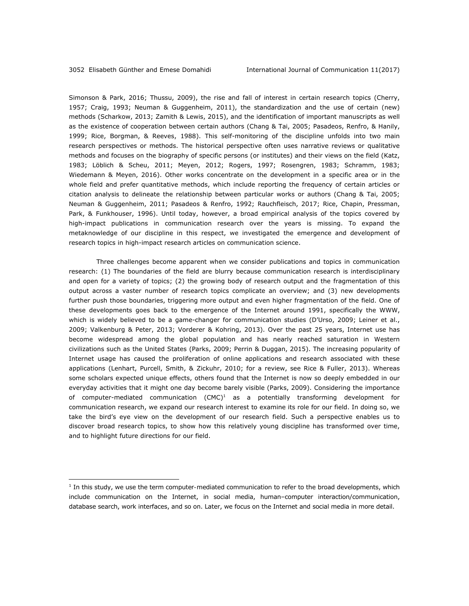$\overline{a}$ 

Simonson & Park, 2016; Thussu, 2009), the rise and fall of interest in certain research topics (Cherry, 1957; Craig, 1993; Neuman & Guggenheim, 2011), the standardization and the use of certain (new) methods (Scharkow, 2013; Zamith & Lewis, 2015), and the identification of important manuscripts as well as the existence of cooperation between certain authors (Chang & Tai, 2005; Pasadeos, Renfro, & Hanily, 1999; Rice, Borgman, & Reeves, 1988). This self-monitoring of the discipline unfolds into two main research perspectives or methods. The historical perspective often uses narrative reviews or qualitative methods and focuses on the biography of specific persons (or institutes) and their views on the field (Katz, 1983; Löblich & Scheu, 2011; Meyen, 2012; Rogers, 1997; Rosengren, 1983; Schramm, 1983; Wiedemann & Meyen, 2016). Other works concentrate on the development in a specific area or in the whole field and prefer quantitative methods, which include reporting the frequency of certain articles or citation analysis to delineate the relationship between particular works or authors (Chang & Tai, 2005; Neuman & Guggenheim, 2011; Pasadeos & Renfro, 1992; Rauchfleisch, 2017; Rice, Chapin, Pressman, Park, & Funkhouser, 1996). Until today, however, a broad empirical analysis of the topics covered by high-impact publications in communication research over the years is missing. To expand the metaknowledge of our discipline in this respect, we investigated the emergence and development of research topics in high-impact research articles on communication science.

Three challenges become apparent when we consider publications and topics in communication research: (1) The boundaries of the field are blurry because communication research is interdisciplinary and open for a variety of topics; (2) the growing body of research output and the fragmentation of this output across a vaster number of research topics complicate an overview; and (3) new developments further push those boundaries, triggering more output and even higher fragmentation of the field. One of these developments goes back to the emergence of the Internet around 1991, specifically the WWW, which is widely believed to be a game-changer for communication studies (D'Urso, 2009; Leiner et al., 2009; Valkenburg & Peter, 2013; Vorderer & Kohring, 2013). Over the past 25 years, Internet use has become widespread among the global population and has nearly reached saturation in Western civilizations such as the United States (Parks, 2009; Perrin & Duggan, 2015). The increasing popularity of Internet usage has caused the proliferation of online applications and research associated with these applications (Lenhart, Purcell, Smith, & Zickuhr, 2010; for a review, see Rice & Fuller, 2013). Whereas some scholars expected unique effects, others found that the Internet is now so deeply embedded in our everyday activities that it might one day become barely visible (Parks, 2009). Considering the importance of computer-mediated communication  $(CMC)^1$  as a potentially transforming development for communication research, we expand our research interest to examine its role for our field. In doing so, we take the bird's eye view on the development of our research field. Such a perspective enables us to discover broad research topics, to show how this relatively young discipline has transformed over time, and to highlight future directions for our field.

<sup>1</sup> In this study, we use the term *computer-mediated communication* to refer to the broad developments, which include communication on the Internet, in social media, human–computer interaction/communication, database search, work interfaces, and so on. Later, we focus on the Internet and social media in more detail.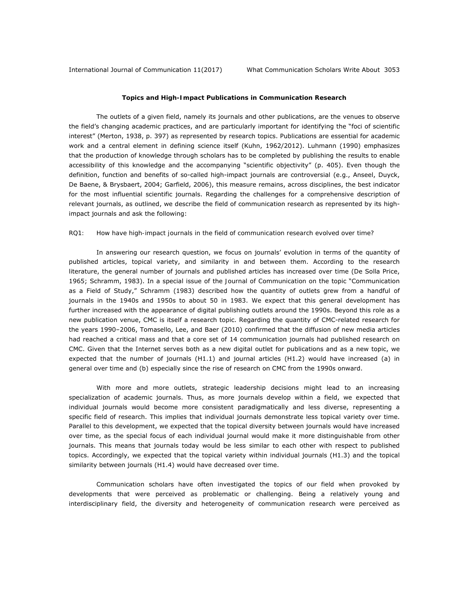## **Topics and High-Impact Publications in Communication Research**

The outlets of a given field, namely its journals and other publications, are the venues to observe the field's changing academic practices, and are particularly important for identifying the "foci of scientific interest" (Merton, 1938, p. 397) as represented by research topics. Publications are essential for academic work and a central element in defining science itself (Kuhn, 1962/2012). Luhmann (1990) emphasizes that the production of knowledge through scholars has to be completed by publishing the results to enable accessibility of this knowledge and the accompanying "scientific objectivity" (p. 405). Even though the definition, function and benefits of so-called high-impact journals are controversial (e.g., Anseel, Duyck, De Baene, & Brysbaert, 2004; Garfield, 2006), this measure remains, across disciplines, the best indicator for the most influential scientific journals. Regarding the challenges for a comprehensive description of relevant journals, as outlined, we describe the field of communication research as represented by its highimpact journals and ask the following:

## *RQ1: How have high-impact journals in the field of communication research evolved over time?*

In answering our research question, we focus on journals' evolution in terms of the quantity of published articles, topical variety, and similarity in and between them. According to the research literature, the general number of journals and published articles has increased over time (De Solla Price, 1965; Schramm, 1983). In a special issue of the *Journal of Communication* on the topic "Communication as a Field of Study," Schramm (1983) described how the quantity of outlets grew from a handful of journals in the 1940s and 1950s to about 50 in 1983. We expect that this general development has further increased with the appearance of digital publishing outlets around the 1990s. Beyond this role as a new publication venue, CMC is itself a research topic. Regarding the quantity of CMC-related research for the years 1990–2006, Tomasello, Lee, and Baer (2010) confirmed that the diffusion of new media articles had reached a critical mass and that a core set of 14 communication journals had published research on CMC. Given that the Internet serves both as a new digital outlet for publications and as a new topic, we expected that the number of journals (H1.1) and journal articles (H1.2) would have increased (a) in general over time and (b) especially since the rise of research on CMC from the 1990s onward.

With more and more outlets, strategic leadership decisions might lead to an increasing specialization of academic journals. Thus, as more journals develop within a field, we expected that individual journals would become more consistent paradigmatically and less diverse, representing a specific field of research. This implies that individual journals demonstrate less topical variety over time. Parallel to this development, we expected that the topical diversity between journals would have increased over time, as the special focus of each individual journal would make it more distinguishable from other journals. This means that journals today would be less similar to each other with respect to published topics. Accordingly, we expected that the topical variety within individual journals (H1.3) and the topical similarity between journals (H1.4) would have decreased over time.

Communication scholars have often investigated the topics of our field when provoked by developments that were perceived as problematic or challenging. Being a relatively young and interdisciplinary field, the diversity and heterogeneity of communication research were perceived as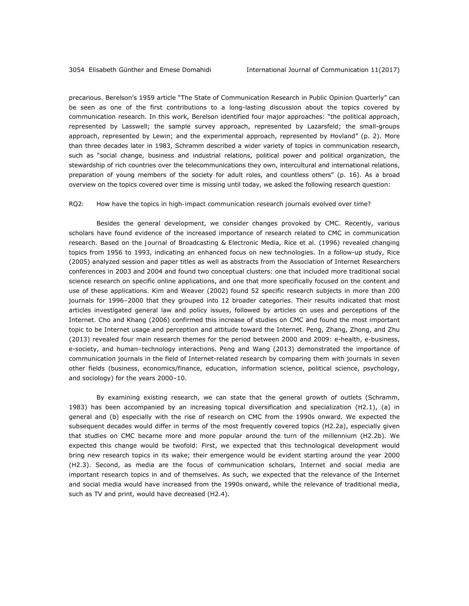precarious. Berelson's 1959 article "The State of Communication Research in *Public Opinion Quarterly*" can be seen as one of the first contributions to a long-lasting discussion about the topics covered by communication research. In this work, Berelson identified four major approaches: "the political approach, represented by Lasswell; the sample survey approach, represented by Lazarsfeld; the small-groups approach, represented by Lewin; and the experimental approach, represented by Hovland" (p. 2). More than three decades later in 1983, Schramm described a wider variety of topics in communication research, such as "social change, business and industrial relations, political power and political organization, the stewardship of rich countries over the telecommunications they own, intercultural and international relations, preparation of young members of the society for adult roles, and countless others" (p. 16). As a broad overview on the topics covered over time is missing until today, we asked the following research question:

#### *RQ2: How have the topics in high-impact communication research journals evolved over time?*

Besides the general development, we consider changes provoked by CMC. Recently, various scholars have found evidence of the increased importance of research related to CMC in communication research. Based on the *Journal of Broadcasting & Electronic Media*, Rice et al. (1996) revealed changing topics from 1956 to 1993, indicating an enhanced focus on new technologies. In a follow-up study, Rice (2005) analyzed session and paper titles as well as abstracts from the Association of Internet Researchers conferences in 2003 and 2004 and found two conceptual clusters: one that included more traditional social science research on specific online applications, and one that more specifically focused on the content and use of these applications. Kim and Weaver (2002) found 52 specific research subjects in more than 200 journals for 1996–2000 that they grouped into 12 broader categories. Their results indicated that most articles investigated general law and policy issues, followed by articles on uses and perceptions of the Internet. Cho and Khang (2006) confirmed this increase of studies on CMC and found the most important topic to be Internet usage and perception and attitude toward the Internet. Peng, Zhang, Zhong, and Zhu (2013) revealed four main research themes for the period between 2000 and 2009: e-health, e-business, e-society, and human–technology interactions. Peng and Wang (2013) demonstrated the importance of communication journals in the field of Internet-related research by comparing them with journals in seven other fields (business, economics/finance, education, information science, political science, psychology, and sociology) for the years 2000–10.

By examining existing research, we can state that the general growth of outlets (Schramm, 1983) has been accompanied by an increasing topical diversification and specialization (H2.1), (a) in general and (b) especially with the rise of research on CMC from the 1990s onward. We expected the subsequent decades would differ in terms of the most frequently covered topics (H2.2a), especially given that studies on CMC became more and more popular around the turn of the millennium (H2.2b). We expected this change would be twofold: First, we expected that this technological development would bring new research topics in its wake; their emergence would be evident starting around the year 2000 (H2.3). Second, as media are the focus of communication scholars, Internet and social media are important research topics in and of themselves. As such, we expected that the relevance of the Internet and social media would have increased from the 1990s onward, while the relevance of traditional media, such as TV and print, would have decreased (H2.4).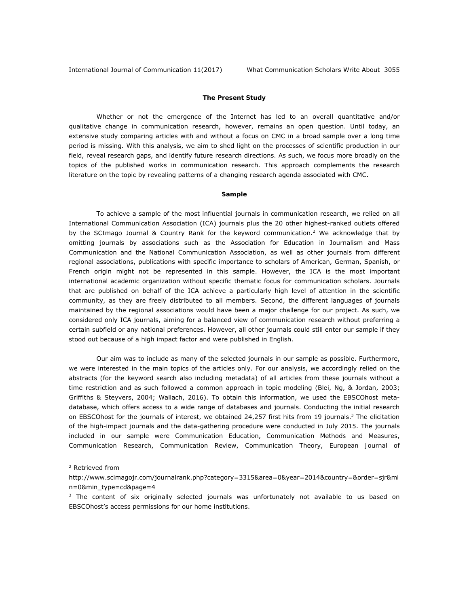## **The Present Study**

Whether or not the emergence of the Internet has led to an overall quantitative and/or qualitative change in communication research, however, remains an open question. Until today, an extensive study comparing articles with and without a focus on CMC in a broad sample over a long time period is missing. With this analysis, we aim to shed light on the processes of scientific production in our field, reveal research gaps, and identify future research directions. As such, we focus more broadly on the topics of the published works in communication research. This approach complements the research literature on the topic by revealing patterns of a changing research agenda associated with CMC.

#### *Sample*

To achieve a sample of the most influential journals in communication research, we relied on all International Communication Association (ICA) journals plus the 20 other highest-ranked outlets offered by the SCImago Journal & Country Rank for the keyword *communication*. 2 We acknowledge that by omitting journals by associations such as the Association for Education in Journalism and Mass Communication and the National Communication Association, as well as other journals from different regional associations, publications with specific importance to scholars of American, German, Spanish, or French origin might not be represented in this sample. However, the ICA is the most important international academic organization without specific thematic focus for communication scholars. Journals that are published on behalf of the ICA achieve a particularly high level of attention in the scientific community, as they are freely distributed to all members. Second, the different languages of journals maintained by the regional associations would have been a major challenge for our project. As such, we considered only ICA journals, aiming for a balanced view of communication research without preferring a certain subfield or any national preferences. However, all other journals could still enter our sample if they stood out because of a high impact factor and were published in English.

Our aim was to include as many of the selected journals in our sample as possible. Furthermore, we were interested in the main topics of the articles only. For our analysis, we accordingly relied on the abstracts (for the keyword search also including *metadata*) of all articles from these journals without a time restriction and as such followed a common approach in topic modeling (Blei, Ng, & Jordan, 2003; Griffiths & Steyvers, 2004; Wallach, 2016). To obtain this information, we used the EBSCOhost metadatabase, which offers access to a wide range of databases and journals. Conducting the initial research on EBSCOhost for the journals of interest, we obtained 24,257 first hits from 19 journals.<sup>3</sup> The elicitation of the high-impact journals and the data-gathering procedure were conducted in July 2015. The journals included in our sample were *Communication Education*, *Communication Methods and Measures*, *Communication Research*, *Communication Review*, *Communication Theory*, *European Journal of* 

 $\overline{a}$ 

<sup>2</sup> Retrieved from

http://www.scimagojr.com/journalrank.php?category=3315&area=0&year=2014&country=&order=sjr&mi n=0&min\_type=cd&page=4

<sup>&</sup>lt;sup>3</sup> The content of six originally selected journals was unfortunately not available to us based on EBSCOhost's access permissions for our home institutions.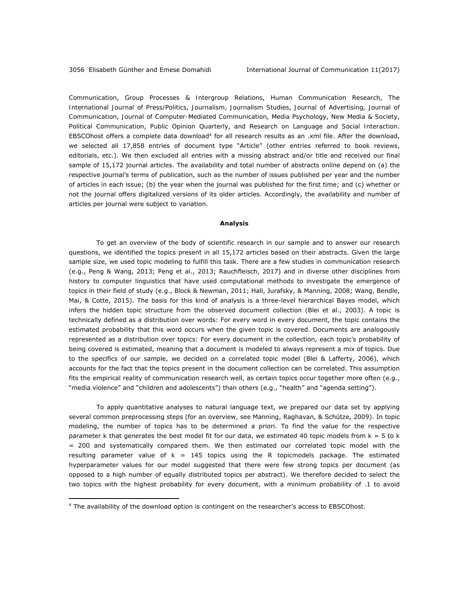*Communication*, *Group Processes & Intergroup Relations*, *Human Communication Research*, *The International Journal of Press/Politics*, *Journalism*, *Journalism Studies*, *Journal of Advertising*, *Journal of Communication*, *Journal of Computer-Mediated Communication*, *Media Psychology*, *New Media & Society*, *Political Communication*, *Public Opinion Quarterly*, and *Research on Language and Social Interaction*. EBSCOhost offers a complete data download<sup>4</sup> for all research results as an .xml file. After the download, we selected all 17,858 entries of document type "Article" (other entries referred to book reviews, editorials, etc.). We then excluded all entries with a missing abstract and/or title and received our final sample of 15,172 journal articles. The availability and total number of abstracts online depend on (a) the respective journal's terms of publication, such as the number of issues published per year and the number of articles in each issue; (b) the year when the journal was published for the first time; and (c) whether or not the journal offers digitalized versions of its older articles. Accordingly, the availability and number of articles per journal were subject to variation.

#### *Analysis*

To get an overview of the body of scientific research in our sample and to answer our research questions, we identified the topics present in all 15,172 articles based on their abstracts. Given the large sample size, we used topic modeling to fulfill this task. There are a few studies in communication research (e.g., Peng & Wang, 2013; Peng et al., 2013; Rauchfleisch, 2017) and in diverse other disciplines from history to computer linguistics that have used computational methods to investigate the emergence of topics in their field of study (e.g., Block & Newman, 2011; Hall, Jurafsky, & Manning, 2008; Wang, Bendle, Mai, & Cotte, 2015). The basis for this kind of analysis is a three-level hierarchical Bayes model, which infers the hidden topic structure from the observed document collection (Blei et al., 2003). A *topic* is technically defined as a distribution over words: For every word in every document, the topic contains the estimated probability that this word occurs when the given topic is covered. Documents are analogously represented as a distribution over topics: For every document in the collection, each topic's probability of being covered is estimated, meaning that a document is modeled to always represent a mix of topics. Due to the specifics of our sample, we decided on a correlated topic model (Blei & Lafferty, 2006), which accounts for the fact that the topics present in the document collection can be correlated. This assumption fits the empirical reality of communication research well, as certain topics occur together more often (e.g., "media violence" and "children and adolescents") than others (e.g., "health" and "agenda setting").

To apply quantitative analyses to natural language text, we prepared our data set by applying several common preprocessing steps (for an overview, see Manning, Raghavan, & Schütze, 2009). In topic modeling, the number of topics has to be determined a priori. To find the value for the respective parameter *k* that generates the best model fit for our data, we estimated 40 topic models from *k* = 5 to *k* = 200 and systematically compared them. We then estimated our correlated topic model with the resulting parameter value of *k* = 145 topics using the R *topicmodels* package. The estimated hyperparameter values for our model suggested that there were few strong topics per document (as opposed to a high number of equally distributed topics per abstract). We therefore decided to select the two topics with the highest probability for every document, with a minimum probability of .1 to avoid

 $\overline{a}$ 

<sup>&</sup>lt;sup>4</sup> The availability of the download option is contingent on the researcher's access to EBSCOhost.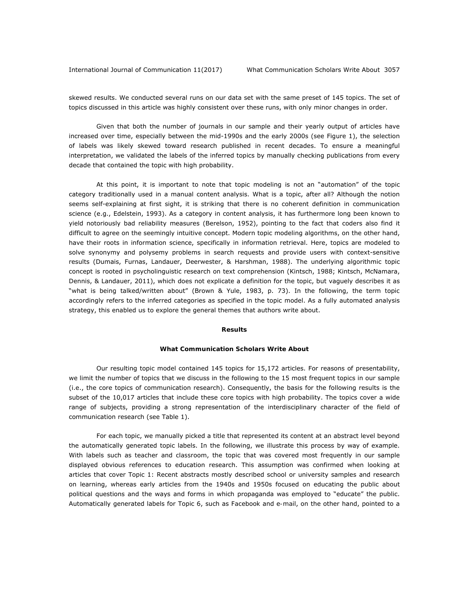skewed results. We conducted several runs on our data set with the same preset of 145 topics. The set of topics discussed in this article was highly consistent over these runs, with only minor changes in order.

Given that both the number of journals in our sample and their yearly output of articles have increased over time, especially between the mid-1990s and the early 2000s (see Figure 1), the selection of labels was likely skewed toward research published in recent decades. To ensure a meaningful interpretation, we validated the labels of the inferred topics by manually checking publications from every decade that contained the topic with high probability.

At this point, it is important to note that topic modeling is not an "automation" of the topic category traditionally used in a manual content analysis. What is a topic, after all? Although the notion seems self-explaining at first sight, it is striking that there is no coherent definition in communication science (e.g., Edelstein, 1993). As a category in content analysis, it has furthermore long been known to yield notoriously bad reliability measures (Berelson, 1952), pointing to the fact that coders also find it difficult to agree on the seemingly intuitive concept. Modern topic modeling algorithms, on the other hand, have their roots in information science, specifically in information retrieval. Here, topics are modeled to solve synonymy and polysemy problems in search requests and provide users with context-sensitive results (Dumais, Furnas, Landauer, Deerwester, & Harshman, 1988). The underlying algorithmic topic concept is rooted in psycholinguistic research on text comprehension (Kintsch, 1988; Kintsch, McNamara, Dennis, & Landauer, 2011), which does not explicate a definition for the topic, but vaguely describes it as "what is being talked/written about" (Brown & Yule, 1983, p. 73). In the following, the term *topic* accordingly refers to the inferred categories as specified in the topic model. As a fully automated analysis strategy, this enabled us to explore the general themes that authors write about.

#### **Results**

#### *What Communication Scholars Write About*

Our resulting topic model contained 145 topics for 15,172 articles. For reasons of presentability, we limit the number of topics that we discuss in the following to the 15 most frequent topics in our sample (i.e., the core topics of communication research). Consequently, the basis for the following results is the subset of the 10,017 articles that include these core topics with high probability. The topics cover a wide range of subjects, providing a strong representation of the interdisciplinary character of the field of communication research (see Table 1).

For each topic, we manually picked a title that represented its content at an abstract level beyond the automatically generated topic labels. In the following, we illustrate this process by way of example. With labels such as *teacher* and *classroom*, the topic that was covered most frequently in our sample displayed obvious references to education research. This assumption was confirmed when looking at articles that cover Topic 1: Recent abstracts mostly described school or university samples and research on learning, whereas early articles from the 1940s and 1950s focused on educating the public about political questions and the ways and forms in which propaganda was employed to "educate" the public. Automatically generated labels for Topic 6, such as *Facebook* and *e-mail*, on the other hand, pointed to a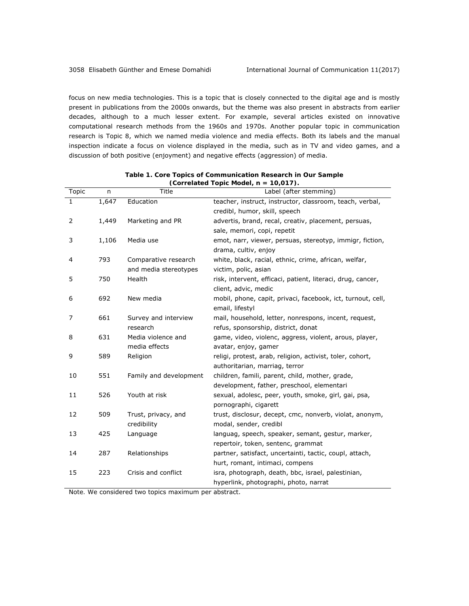focus on new media technologies. This is a topic that is closely connected to the digital age and is mostly present in publications from the 2000s onwards, but the theme was also present in abstracts from earlier decades, although to a much lesser extent. For example, several articles existed on innovative computational research methods from the 1960s and 1970s. Another popular topic in communication research is Topic 8, which we named *media violence and media effects*. Both its labels and the manual inspection indicate a focus on violence displayed in the media, such as in TV and video games, and a discussion of both positive (enjoyment) and negative effects (aggression) of media.

| Topic          | $\sqrt{n}$         | (correlated ropic model, $n = 10, 0177$ .<br>Title<br>Label (after stemming) |                                                             |  |  |  |  |
|----------------|--------------------|------------------------------------------------------------------------------|-------------------------------------------------------------|--|--|--|--|
| $\mathbf{1}$   | $\overline{1,647}$ | Education                                                                    | teacher, instruct, instructor, classroom, teach, verbal,    |  |  |  |  |
|                |                    |                                                                              |                                                             |  |  |  |  |
|                |                    |                                                                              | credibl, humor, skill, speech                               |  |  |  |  |
| 2              | 1,449              | Marketing and PR                                                             | advertis, brand, recal, creativ, placement, persuas,        |  |  |  |  |
|                |                    |                                                                              | sale, memori, copi, repetit                                 |  |  |  |  |
| 3              | 1,106              | Media use                                                                    | emot, narr, viewer, persuas, stereotyp, immigr, fiction,    |  |  |  |  |
|                |                    |                                                                              | drama, cultiv, enjoy                                        |  |  |  |  |
| $\overline{4}$ | 793                | Comparative research                                                         | white, black, racial, ethnic, crime, african, welfar,       |  |  |  |  |
|                |                    | and media stereotypes                                                        | victim, polic, asian                                        |  |  |  |  |
| 5              | 750                | Health                                                                       | risk, intervent, efficaci, patient, literaci, drug, cancer, |  |  |  |  |
|                |                    |                                                                              | client, advic, medic                                        |  |  |  |  |
| 6              | 692                | New media                                                                    | mobil, phone, capit, privaci, facebook, ict, turnout, cell, |  |  |  |  |
|                |                    |                                                                              | email, lifestyl                                             |  |  |  |  |
| 7              | 661                | Survey and interview                                                         | mail, household, letter, nonrespons, incent, request,       |  |  |  |  |
|                |                    | research                                                                     | refus, sponsorship, district, donat                         |  |  |  |  |
| 8              | 631                | Media violence and                                                           | game, video, violenc, aggress, violent, arous, player,      |  |  |  |  |
|                |                    | media effects                                                                | avatar, enjoy, gamer                                        |  |  |  |  |
| 9              | 589                | Religion                                                                     | religi, protest, arab, religion, activist, toler, cohort,   |  |  |  |  |
|                |                    |                                                                              | authoritarian, marriag, terror                              |  |  |  |  |
| 10             | 551                | Family and development                                                       | children, famili, parent, child, mother, grade,             |  |  |  |  |
|                |                    |                                                                              | development, father, preschool, elementari                  |  |  |  |  |
| 11             | 526                | Youth at risk                                                                | sexual, adolesc, peer, youth, smoke, girl, gai, psa,        |  |  |  |  |
|                |                    |                                                                              | pornographi, cigarett                                       |  |  |  |  |
| 12             | 509                | Trust, privacy, and                                                          | trust, disclosur, decept, cmc, nonverb, violat, anonym,     |  |  |  |  |
|                |                    | credibility                                                                  | modal, sender, credibl                                      |  |  |  |  |
| 13             | 425                | Language                                                                     | languag, speech, speaker, semant, gestur, marker,           |  |  |  |  |
|                |                    |                                                                              | repertoir, token, sentenc, grammat                          |  |  |  |  |
| 14             | 287                | Relationships                                                                | partner, satisfact, uncertainti, tactic, coupl, attach,     |  |  |  |  |
|                |                    |                                                                              | hurt, romant, intimaci, compens                             |  |  |  |  |
|                |                    |                                                                              |                                                             |  |  |  |  |
| 15             | 223                | Crisis and conflict                                                          | isra, photograph, death, bbc, israel, palestinian,          |  |  |  |  |
|                |                    |                                                                              | hyperlink, photographi, photo, narrat                       |  |  |  |  |

*Table 1. Core Topics of Communication Research in Our Sample (Correlated Topic Model,* **n** *= 10,017).* 

*Note.* We considered two topics maximum per abstract.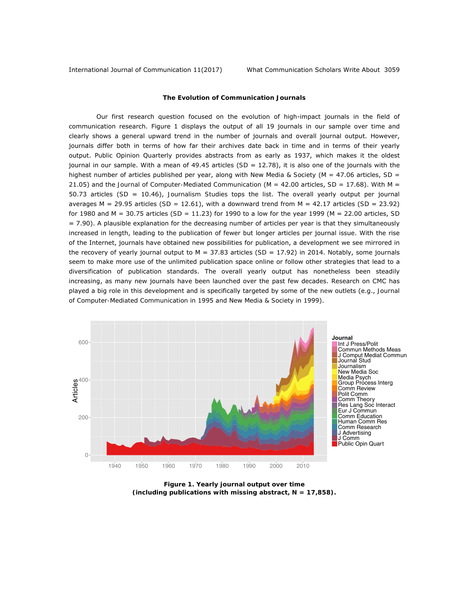International Journal of Communication 11(2017) What Communication Scholars Write About 3059

## *The Evolution of Communication Journals*

Our first research question focused on the evolution of high-impact journals in the field of communication research. Figure 1 displays the output of all 19 journals in our sample over time and clearly shows a general upward trend in the number of journals and overall journal output. However, journals differ both in terms of how far their archives date back in time and in terms of their yearly output. *Public Opinion Quarterly* provides abstracts from as early as 1937, which makes it the oldest journal in our sample. With a mean of 49.45 articles (*SD =* 12.78), it is also one of the journals with the highest number of articles published per year, along with *New Media & Society* (*M* = 47.06 articles, *SD* = 21.05) and the *Journal of Computer-Mediated Communication* (*M* = 42.00 articles, *SD* = 17.68). With *M =*  50.73 articles (*SD =* 10.46), *Journalism Studies* tops the list. The overall yearly output per journal averages *M =* 29.95 articles (*SD* = 12.61), with a downward trend from *M =* 42.17 articles (*SD =* 23.92) for 1980 and *M* = 30.75 articles (*SD* = 11.23) for 1990 to a low for the year 1999 (*M =* 22.00 articles, *SD =* 7.90). A plausible explanation for the decreasing number of articles per year is that they simultaneously increased in length, leading to the publication of fewer but longer articles per journal issue. With the rise of the Internet, journals have obtained new possibilities for publication, a development we see mirrored in the recovery of yearly journal output to *M =* 37.83 articles (*SD =* 17.92) in 2014. Notably, some journals seem to make more use of the unlimited publication space online or follow other strategies that lead to a diversification of publication standards. The overall yearly output has nonetheless been steadily increasing, as many new journals have been launched over the past few decades. Research on CMC has played a big role in this development and is specifically targeted by some of the new outlets (e.g., *Journal of Computer-Mediated Communication* in 1995 and *New Media & Society* in 1999).



*Figure 1. Yearly journal output over time (including publications with missing abstract,* **N** *= 17,858).*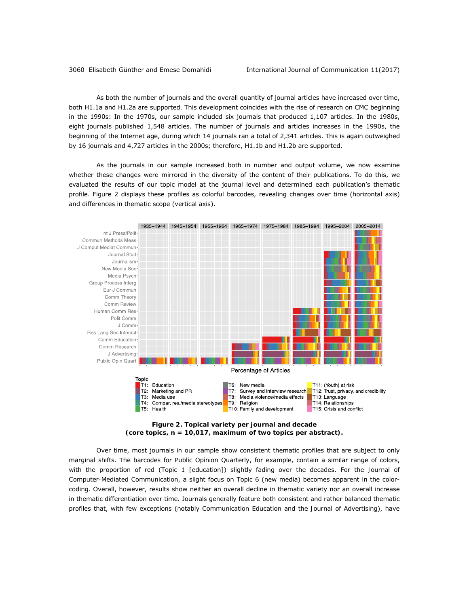As both the number of journals and the overall quantity of journal articles have increased over time, both H1.1a and H1.2a are supported. This development coincides with the rise of research on CMC beginning in the 1990s: In the 1970s, our sample included six journals that produced 1,107 articles. In the 1980s, eight journals published 1,548 articles. The number of journals and articles increases in the 1990s, the beginning of the Internet age, during which 14 journals ran a total of 2,341 articles. This is again outweighed by 16 journals and 4,727 articles in the 2000s; therefore, H1.1b and H1.2b are supported.

As the journals in our sample increased both in number and output volume, we now examine whether these changes were mirrored in the diversity of the content of their publications. To do this, we evaluated the results of our topic model at the journal level and determined each publication's thematic profile. Figure 2 displays these profiles as colorful barcodes, revealing changes over time (horizontal axis) and differences in thematic scope (vertical axis).





Over time, most journals in our sample show consistent thematic profiles that are subject to only marginal shifts. The barcodes for *Public Opinion Quarterly*, for example, contain a similar range of colors, with the proportion of red (Topic 1 [education]) slightly fading over the decades. For the *Journal of Computer-Mediated Communication*, a slight focus on Topic 6 (new media) becomes apparent in the colorcoding. Overall, however, results show neither an overall decline in thematic variety nor an overall increase in thematic differentiation over time. Journals generally feature both consistent and rather balanced thematic profiles that, with few exceptions (notably *Communication Education* and the *Journal of Advertising*), have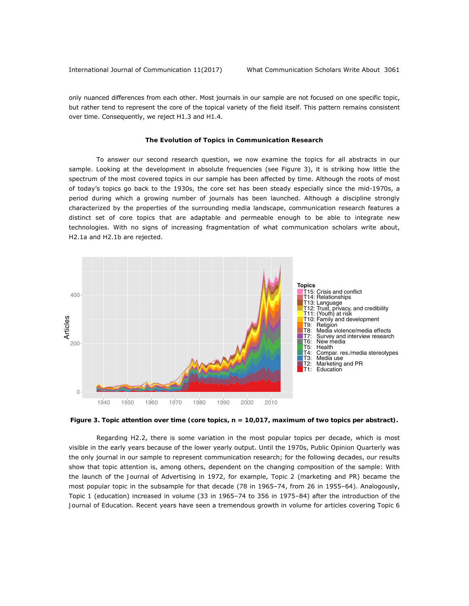only nuanced differences from each other. Most journals in our sample are not focused on one specific topic, but rather tend to represent the core of the topical variety of the field itself. This pattern remains consistent over time. Consequently, we reject H1.3 and H1.4.

#### *The Evolution of Topics in Communication Research*

To answer our second research question, we now examine the topics for all abstracts in our sample. Looking at the development in absolute frequencies (see Figure 3), it is striking how little the spectrum of the most covered topics in our sample has been affected by time. Although the roots of most of today's topics go back to the 1930s, the core set has been steady especially since the mid-1970s, a period during which a growing number of journals has been launched. Although a discipline strongly characterized by the properties of the surrounding media landscape, communication research features a distinct set of core topics that are adaptable and permeable enough to be able to integrate new technologies. With no signs of increasing fragmentation of what communication scholars write about, H2.1a and H2.1b are rejected.



*Figure 3. Topic attention over time (core topics, n = 10,017, maximum of two topics per abstract).* 

Regarding H2.2, there is some variation in the most popular topics per decade, which is most visible in the early years because of the lower yearly output. Until the 1970s, *Public Opinion Quarterly* was the only journal in our sample to represent communication research; for the following decades, our results show that topic attention is, among others, dependent on the changing composition of the sample: With the launch of the *Journal of Advertising* in 1972, for example, Topic 2 (marketing and PR) became the most popular topic in the subsample for that decade (78 in 1965–74, from 26 in 1955–64). Analogously, Topic 1 (education) increased in volume (33 in 1965–74 to 356 in 1975–84) after the introduction of the *Journal of Education*. Recent years have seen a tremendous growth in volume for articles covering Topic 6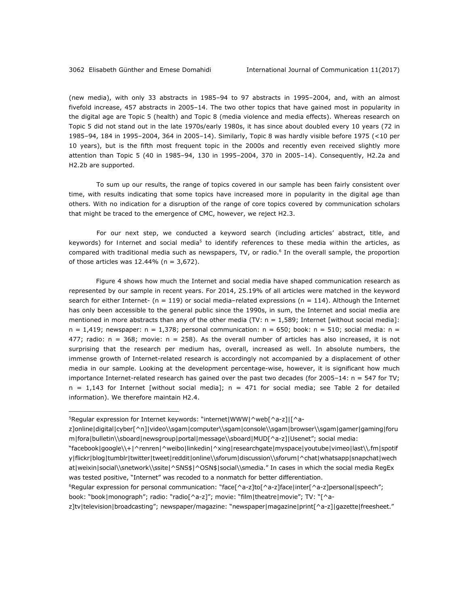(new media), with only 33 abstracts in 1985–94 to 97 abstracts in 1995–2004, and, with an almost fivefold increase, 457 abstracts in 2005–14. The two other topics that have gained most in popularity in the digital age are Topic 5 (health) and Topic 8 (media violence and media effects). Whereas research on Topic 5 did not stand out in the late 1970s/early 1980s, it has since about doubled every 10 years (72 in 1985–94, 184 in 1995–2004, 364 in 2005–14). Similarly, Topic 8 was hardly visible before 1975 (<10 per 10 years), but is the fifth most frequent topic in the 2000s and recently even received slightly more attention than Topic 5 (40 in 1985–94, 130 in 1995–2004, 370 in 2005–14). Consequently, H2.2a and H2.2b are supported.

To sum up our results, the range of topics covered in our sample has been fairly consistent over time, with results indicating that some topics have increased more in popularity in the digital age than others. With no indication for a disruption of the range of core topics covered by communication scholars that might be traced to the emergence of CMC, however, we reject H2.3.

For our next step, we conducted a keyword search (including articles' abstract, title, and keywords) for *Internet* and *social media*5 to identify references to these media within the articles, as compared with traditional media such as newspapers, TV, or radio.<sup>6</sup> In the overall sample, the proportion of those articles was 12.44% (*n =* 3,672).

Figure 4 shows how much the Internet and social media have shaped communication research as represented by our sample in recent years. For 2014, 25.19% of all articles were matched in the keyword search for either Internet- (*n =* 119) or social media–related expressions (*n =* 114). Although the Internet has only been accessible to the general public since the 1990s, in sum, the Internet and social media are mentioned in more abstracts than any of the other media (TV: *n =* 1,589; Internet [without social media]:  $n = 1.419$ ; newspaper:  $n = 1.378$ ; personal communication:  $n = 650$ ; book:  $n = 510$ ; social media:  $n =$ 477; radio: *n =* 368; movie: *n =* 258). As the overall number of articles has also increased, it is not surprising that the research per medium has, overall, increased as well. In absolute numbers, the immense growth of Internet-related research is accordingly not accompanied by a displacement of other media in our sample. Looking at the development percentage-wise, however, it is significant how much importance Internet-related research has gained over the past two decades (for 2005–14: *n =* 547 for TV; *n =* 1,143 for Internet [without social media]; *n =* 471 for social media; see Table 2 for detailed information). We therefore maintain H2.4.

 $\overline{a}$ 

 $5$ Regular expression for Internet keywords: "internet|WWW|^web[^a-z]|[^a-

z]online|digital|cyber[^n]|video\\sgam|computer\\sgam|console\\sgam|browser\\sgam|gamer|gaming|foru m|fora|bulletin\\sboard|newsgroup|portal|message\\sboard|MUD[^a-z]|Usenet"; social media:

<sup>&</sup>quot;facebook|google\\+|^renren|^weibo|linkedin|^xing|researchgate|myspace|youtube|vimeo|last\\.fm|spotif y|flickr|blog|tumblr|twitter|tweet|reddit|online\\sforum|discussion\\sforum|^chat|whatsapp|snapchat|wech at|weixin|social\\snetwork\\ssite|^SNS\$|^OSN\$|social\\smedia." In cases in which the social media RegEx was tested positive, "Internet" was recoded to a nonmatch for better differentiation.

<sup>6</sup>Regular expression for personal communication: "face[^a-z]to[^a-z]face|inter[^a-z]personal|speech"; book: "book|monograph"; radio: "radio[^a-z]"; movie: "film|theatre|movie"; TV: "[^a-

z]tv|television|broadcasting"; newspaper/magazine: "newspaper|magazine|print[^a-z]|gazette|freesheet."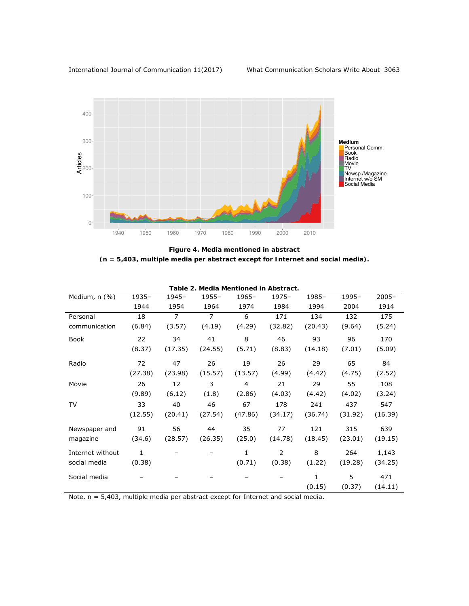

*Figure 4. Media mentioned in abstract (***n** *= 5,403, multiple media per abstract except for Internet and social media).* 

| Table 2. Media Mentioned in Abstract. |              |                |                |         |          |              |         |          |  |  |  |
|---------------------------------------|--------------|----------------|----------------|---------|----------|--------------|---------|----------|--|--|--|
| Medium, n (%)                         | 1935-        | 1945-          | 1955-          | 1965-   | $1975 -$ | 1985-        | 1995-   | $2005 -$ |  |  |  |
|                                       | 1944         | 1954           | 1964           | 1974    | 1984     | 1994         | 2004    | 1914     |  |  |  |
| Personal                              | 18           | $\overline{7}$ | $\overline{7}$ | 6       | 171      | 134          | 132     | 175      |  |  |  |
| communication                         | (6.84)       | (3.57)         | (4.19)         | (4.29)  | (32.82)  | (20.43)      | (9.64)  | (5.24)   |  |  |  |
| Book                                  | 22           | 34             | 41             | 8       | 46       | 93           | 96      | 170      |  |  |  |
|                                       | (8.37)       | (17.35)        | (24.55)        | (5.71)  | (8.83)   | (14.18)      | (7.01)  | (5.09)   |  |  |  |
| Radio                                 | 72           | 47             | 26             | 19      | 26       | 29           | 65      | 84       |  |  |  |
|                                       | (27.38)      | (23.98)        | (15.57)        | (13.57) | (4.99)   | (4.42)       | (4.75)  | (2.52)   |  |  |  |
| Movie                                 | 26           | 12             | 3              | 4       | 21       | 29           | 55      | 108      |  |  |  |
|                                       | (9.89)       | (6.12)         | (1.8)          | (2.86)  | (4.03)   | (4.42)       | (4.02)  | (3.24)   |  |  |  |
| TV                                    | 33           | 40             | 46             | 67      | 178      | 241          | 437     | 547      |  |  |  |
|                                       | (12.55)      | (20.41)        | (27.54)        | (47.86) | (34.17)  | (36.74)      | (31.92) | (16.39)  |  |  |  |
| Newspaper and                         | 91           | 56             | 44             | 35      | 77       | 121          | 315     | 639      |  |  |  |
| magazine                              | (34.6)       | (28.57)        | (26.35)        | (25.0)  | (14.78)  | (18.45)      | (23.01) | (19.15)  |  |  |  |
| Internet without                      | $\mathbf{1}$ |                |                | 1       | 2        | 8            | 264     | 1,143    |  |  |  |
| social media                          | (0.38)       |                |                | (0.71)  | (0.38)   | (1.22)       | (19.28) | (34.25)  |  |  |  |
| Social media                          |              |                |                |         |          | $\mathbf{1}$ | 5       | 471      |  |  |  |
|                                       |              |                |                |         |          | (0.15)       | (0.37)  | (14.11)  |  |  |  |

*Note*. *n* = 5,403, multiple media per abstract except for Internet and social media.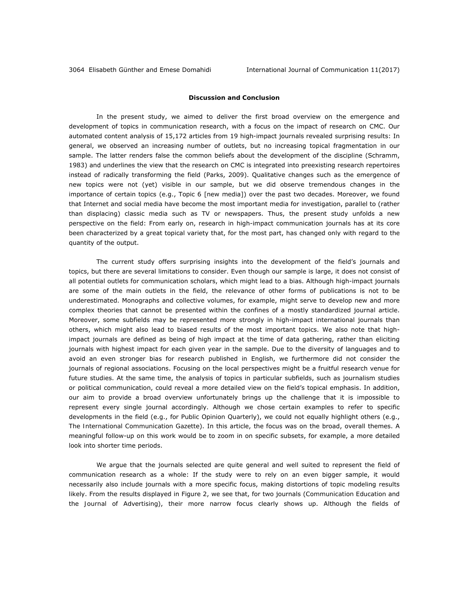### **Discussion and Conclusion**

In the present study, we aimed to deliver the first broad overview on the emergence and development of topics in communication research, with a focus on the impact of research on CMC. Our automated content analysis of 15,172 articles from 19 high-impact journals revealed surprising results: In general, we observed an increasing number of outlets, but no increasing topical fragmentation in our sample. The latter renders false the common beliefs about the development of the discipline (Schramm, 1983) and underlines the view that the research on CMC is integrated into preexisting research repertoires instead of radically transforming the field (Parks, 2009). Qualitative changes such as the emergence of new topics were not (yet) visible in our sample, but we did observe tremendous changes in the importance of certain topics (e.g., Topic 6 [new media]) over the past two decades. Moreover, we found that Internet and social media have become the most important media for investigation, parallel to (rather than displacing) classic media such as TV or newspapers. Thus, the present study unfolds a new perspective on the field: From early on, research in high-impact communication journals has at its core been characterized by a great topical variety that, for the most part, has changed only with regard to the quantity of the output.

The current study offers surprising insights into the development of the field's journals and topics, but there are several limitations to consider. Even though our sample is large, it does not consist of all potential outlets for communication scholars, which might lead to a bias. Although high-impact journals are some of the main outlets in the field, the relevance of other forms of publications is not to be underestimated. Monographs and collective volumes, for example, might serve to develop new and more complex theories that cannot be presented within the confines of a mostly standardized journal article. Moreover, some subfields may be represented more strongly in high-impact international journals than others, which might also lead to biased results of the most important topics. We also note that highimpact journals are defined as being of high impact at the time of data gathering, rather than eliciting journals with highest impact for each given year in the sample. Due to the diversity of languages and to avoid an even stronger bias for research published in English, we furthermore did not consider the journals of regional associations. Focusing on the local perspectives might be a fruitful research venue for future studies. At the same time, the analysis of topics in particular subfields, such as journalism studies or political communication, could reveal a more detailed view on the field's topical emphasis. In addition, our aim to provide a broad overview unfortunately brings up the challenge that it is impossible to represent every single journal accordingly. Although we chose certain examples to refer to specific developments in the field (e.g., for *Public Opinion Quarterly*), we could not equally highlight others (e.g., *The International Communication Gazette*). In this article, the focus was on the broad, overall themes. A meaningful follow-up on this work would be to zoom in on specific subsets, for example, a more detailed look into shorter time periods.

We argue that the journals selected are quite general and well suited to represent the field of communication research as a whole: If the study were to rely on an even bigger sample, it would necessarily also include journals with a more specific focus, making distortions of topic modeling results likely. From the results displayed in Figure 2, we see that, for two journals (*Communication Education* and the *Journal of Advertising*), their more narrow focus clearly shows up. Although the fields of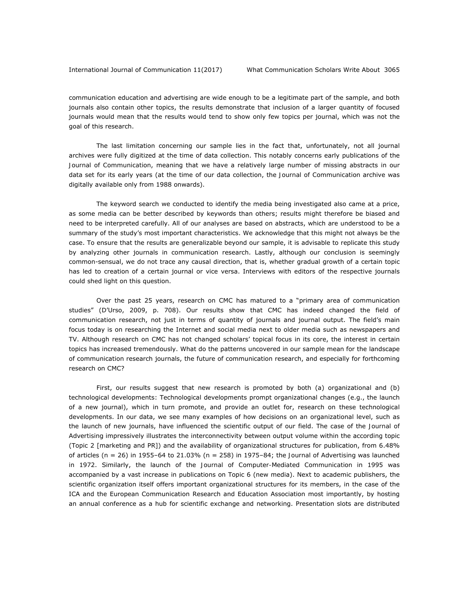communication education and advertising are wide enough to be a legitimate part of the sample, and both journals also contain other topics, the results demonstrate that inclusion of a larger quantity of focused journals would mean that the results would tend to show only few topics per journal, which was not the goal of this research.

The last limitation concerning our sample lies in the fact that, unfortunately, not all journal archives were fully digitized at the time of data collection. This notably concerns early publications of the *Journal of Communication*, meaning that we have a relatively large number of missing abstracts in our data set for its early years (at the time of our data collection, the *Journal of Communication* archive was digitally available only from 1988 onwards).

The keyword search we conducted to identify the media being investigated also came at a price, as some media can be better described by keywords than others; results might therefore be biased and need to be interpreted carefully. All of our analyses are based on abstracts, which are understood to be a summary of the study's most important characteristics. We acknowledge that this might not always be the case. To ensure that the results are generalizable beyond our sample, it is advisable to replicate this study by analyzing other journals in communication research. Lastly, although our conclusion is seemingly common-sensual, we do not trace any causal direction, that is, whether gradual growth of a certain topic has led to creation of a certain journal or vice versa. Interviews with editors of the respective journals could shed light on this question.

Over the past 25 years, research on CMC has matured to a "primary area of communication studies" (D'Urso, 2009, p. 708). Our results show that CMC has indeed changed the field of communication research, not just in terms of quantity of journals and journal output. The field's main focus today is on researching the Internet and social media next to older media such as newspapers and TV. Although research on CMC has not changed scholars' topical focus in its core, the interest in certain topics has increased tremendously. What do the patterns uncovered in our sample mean for the landscape of communication research journals, the future of communication research, and especially for forthcoming research on CMC?

First, our results suggest that new research is promoted by both (a) organizational and (b) technological developments: Technological developments prompt organizational changes (e.g., the launch of a new journal), which in turn promote, and provide an outlet for, research on these technological developments. In our data, we see many examples of how decisions on an organizational level, such as the launch of new journals, have influenced the scientific output of our field. The case of the *Journal of Advertising* impressively illustrates the interconnectivity between output volume within the according topic (Topic 2 [marketing and PR]) and the availability of organizational structures for publication, from 6.48% of articles (*n =* 26) in 1955–64 to 21.03% (*n =* 258) in 1975–84; the *Journal of Advertising* was launched in 1972. Similarly, the launch of the *Journal of Computer-Mediated Communication* in 1995 was accompanied by a vast increase in publications on Topic 6 (new media). Next to academic publishers, the scientific organization itself offers important organizational structures for its members, in the case of the ICA and the European Communication Research and Education Association most importantly, by hosting an annual conference as a hub for scientific exchange and networking. Presentation slots are distributed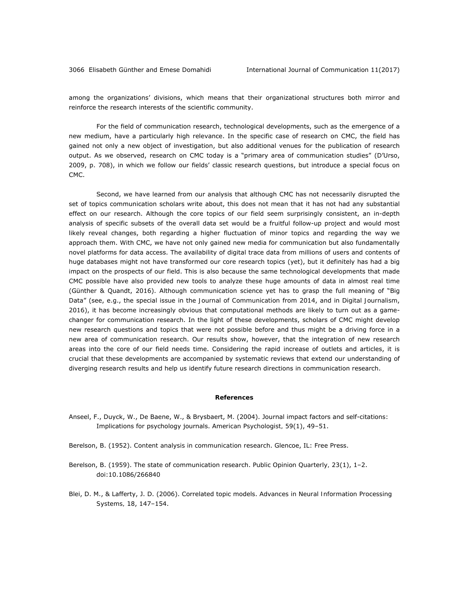among the organizations' divisions, which means that their organizational structures both mirror and reinforce the research interests of the scientific community.

For the field of communication research, technological developments, such as the emergence of a new medium, have a particularly high relevance. In the specific case of research on CMC, the field has gained not only a new object of investigation, but also additional venues for the publication of research output. As we observed, research on CMC today is a "primary area of communication studies" (D'Urso, 2009, p. 708), in which we follow our fields' classic research questions, but introduce a special focus on CMC.

Second, we have learned from our analysis that although CMC has not necessarily disrupted the set of topics communication scholars write about, this does not mean that it has not had any substantial effect on our research. Although the core topics of our field seem surprisingly consistent, an in-depth analysis of specific subsets of the overall data set would be a fruitful follow-up project and would most likely reveal changes, both regarding a higher fluctuation of minor topics and regarding the way we approach them. With CMC, we have not only gained new media for communication but also fundamentally novel platforms for data access. The availability of digital trace data from millions of users and contents of huge databases might not have transformed our core research topics (yet), but it definitely has had a big impact on the prospects of our field. This is also because the same technological developments that made CMC possible have also provided new tools to analyze these huge amounts of data in almost real time (Günther & Quandt, 2016). Although communication science yet has to grasp the full meaning of "Big Data" (see, e.g., the special issue in the *Journal of Communication* from 2014, and in *Digital Journalism*, 2016), it has become increasingly obvious that computational methods are likely to turn out as a gamechanger for communication research. In the light of these developments, scholars of CMC might develop new research questions and topics that were not possible before and thus might be a driving force in a new area of communication research. Our results show, however, that the integration of new research areas into the core of our field needs time. Considering the rapid increase of outlets and articles, it is crucial that these developments are accompanied by systematic reviews that extend our understanding of diverging research results and help us identify future research directions in communication research.

#### **References**

- Anseel, F., Duyck, W., De Baene, W., & Brysbaert, M. (2004). Journal impact factors and self-citations: Implications for psychology journals. *American Psychologist, 59*(1), 49–51.
- Berelson, B. (1952). *Content analysis in communication research*. Glencoe, IL: Free Press.
- Berelson, B. (1959). The state of communication research. *Public Opinion Quarterly, 23*(1), 1–2. doi:10.1086/266840
- Blei, D. M., & Lafferty, J. D. (2006). Correlated topic models. *Advances in Neural Information Processing Systems, 18*, 147–154.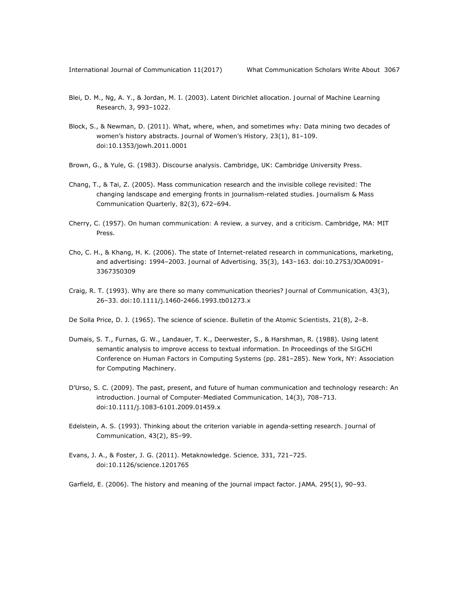- Blei, D. M., Ng, A. Y., & Jordan, M. I. (2003). Latent Dirichlet allocation. *Journal of Machine Learning Research, 3*, 993–1022.
- Block, S., & Newman, D. (2011). What, where, when, and sometimes why: Data mining two decades of women's history abstracts. *Journal of Women's History, 23*(1), 81–109. doi:10.1353/jowh.2011.0001
- Brown, G., & Yule, G. (1983). *Discourse analysis*. Cambridge, UK: Cambridge University Press.
- Chang, T., & Tai, Z. (2005). Mass communication research and the invisible college revisited: The changing landscape and emerging fronts in journalism-related studies. *Journalism & Mass Communication Quarterly, 82*(3), 672–694.
- Cherry, C. (1957). *On human communication: A review, a survey, and a criticism*. Cambridge, MA: MIT Press.
- Cho, C. H., & Khang, H. K. (2006). The state of Internet-related research in communications, marketing, and advertising: 1994–2003. *Journal of Advertising, 35*(3), 143–163. doi:10.2753/JOA0091- 3367350309
- Craig, R. T. (1993). Why are there so many communication theories? *Journal of Communication, 43*(3), 26–33. doi:10.1111/j.1460-2466.1993.tb01273.x
- De Solla Price, D. J. (1965). The science of science. *Bulletin of the Atomic Scientists, 21*(8), 2–8.
- Dumais, S. T., Furnas, G. W., Landauer, T. K., Deerwester, S., & Harshman, R. (1988). Using latent semantic analysis to improve access to textual information. In *Proceedings of the SIGCHI Conference on Human Factors in Computing Systems* (pp. 281–285). New York, NY: Association for Computing Machinery.
- D'Urso, S. C. (2009). The past, present, and future of human communication and technology research: An introduction. *Journal of Computer-Mediated Communication, 14*(3), 708–713. doi:10.1111/j.1083-6101.2009.01459.x
- Edelstein, A. S. (1993). Thinking about the criterion variable in agenda-setting research. *Journal of Communication, 43*(2), 85–99.
- Evans, J. A., & Foster, J. G. (2011). Metaknowledge. *Science, 331*, 721–725. doi:10.1126/science.1201765
- Garfield, E. (2006). The history and meaning of the journal impact factor. *JAMA, 295*(1), 90–93.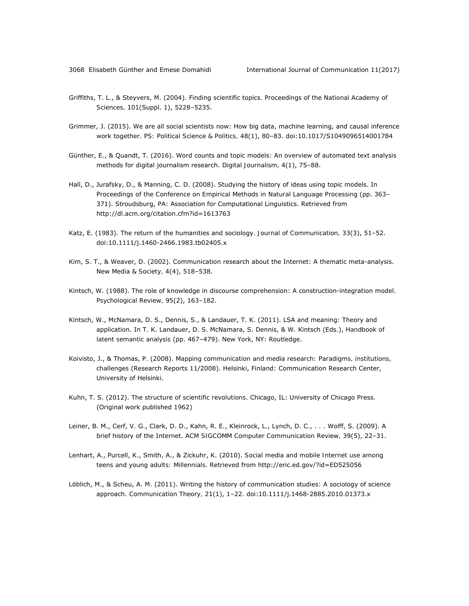- Griffiths, T. L., & Steyvers, M. (2004). Finding scientific topics. *Proceedings of the National Academy of Sciences, 101*(Suppl. 1), 5228–5235.
- Grimmer, J. (2015). We are all social scientists now: How big data, machine learning, and causal inference work together. *PS: Political Science & Politics, 48*(1), 80–83. doi:10.1017/S1049096514001784
- Günther, E., & Quandt, T. (2016). Word counts and topic models: An overview of automated text analysis methods for digital journalism research. *Digital Journalism, 4*(1), 75–88.
- Hall, D., Jurafsky, D., & Manning, C. D. (2008). Studying the history of ideas using topic models. In *Proceedings of the Conference on Empirical Methods in Natural Language Processing* (pp. 363– 371). Stroudsburg, PA: Association for Computational Linguistics. Retrieved from http://dl.acm.org/citation.cfm?id=1613763
- Katz, E. (1983). The return of the humanities and sociology. *Journal of Communication, 33*(3), 51–52. doi:10.1111/j.1460-2466.1983.tb02405.x
- Kim, S. T., & Weaver, D. (2002). Communication research about the Internet: A thematic meta-analysis. *New Media & Society, 4*(4), 518–538.
- Kintsch, W. (1988). The role of knowledge in discourse comprehension: A construction-integration model. *Psychological Review, 95*(2), 163–182.
- Kintsch, W., McNamara, D. S., Dennis, S., & Landauer, T. K. (2011). LSA and meaning: Theory and application. In T. K. Landauer, D. S. McNamara, S. Dennis, & W. Kintsch (Eds.), *Handbook of latent semantic analysis* (pp. 467–479). New York, NY: Routledge.
- Koivisto, J., & Thomas, P. (2008). *Mapping communication and media research: Paradigms, institutions, challenges* (Research Reports 11/2008). Helsinki, Finland: Communication Research Center, University of Helsinki.
- Kuhn, T. S. (2012). *The structure of scientific revolutions*. Chicago, IL: University of Chicago Press. (Original work published 1962)
- Leiner, B. M., Cerf, V. G., Clark, D. D., Kahn, R. E., Kleinrock, L., Lynch, D. C., . . . Wolff, S. (2009). A brief history of the Internet. *ACM SIGCOMM Computer Communication Review, 39*(5), 22–31.
- Lenhart, A., Purcell, K., Smith, A., & Zickuhr, K. (2010). *Social media and mobile Internet use among teens and young adults: Millennials*. Retrieved from http://eric.ed.gov/?id=ED525056
- Löblich, M., & Scheu, A. M. (2011). Writing the history of communication studies: A sociology of science approach. *Communication Theory, 21*(1), 1–22. doi:10.1111/j.1468-2885.2010.01373.x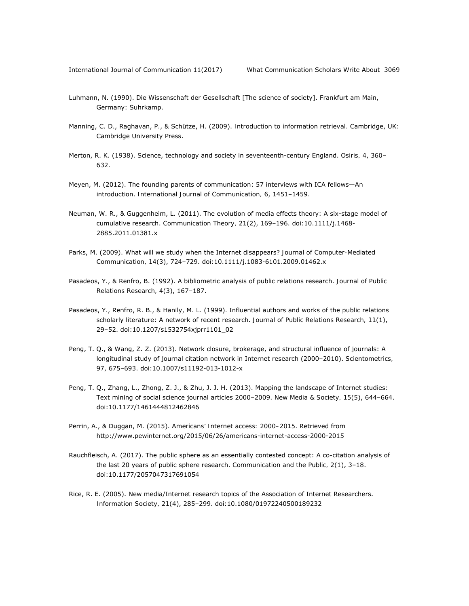- Luhmann, N. (1990). *Die Wissenschaft der Gesellschaft* [The science of society]. Frankfurt am Main, Germany: Suhrkamp.
- Manning, C. D., Raghavan, P., & Schütze, H. (2009). *Introduction to information retrieval*. Cambridge, UK: Cambridge University Press.
- Merton, R. K. (1938). Science, technology and society in seventeenth-century England. *Osiris, 4*, 360– 632.
- Meyen, M. (2012). The founding parents of communication: 57 interviews with ICA fellows—An introduction. *International Journal of Communication, 6*, 1451–1459.
- Neuman, W. R., & Guggenheim, L. (2011). The evolution of media effects theory: A six-stage model of cumulative research. *Communication Theory, 21*(2), 169–196. doi:10.1111/j.1468- 2885.2011.01381.x
- Parks, M. (2009). What will we study when the Internet disappears? *Journal of Computer-Mediated Communication, 14*(3), 724–729. doi:10.1111/j.1083-6101.2009.01462.x
- Pasadeos, Y., & Renfro, B. (1992). A bibliometric analysis of public relations research. *Journal of Public Relations Research, 4*(3), 167–187.
- Pasadeos, Y., Renfro, R. B., & Hanily, M. L. (1999). Influential authors and works of the public relations scholarly literature: A network of recent research. *Journal of Public Relations Research, 11*(1), 29–52. doi:10.1207/s1532754xjprr1101\_02
- Peng, T. Q., & Wang, Z. Z. (2013). Network closure, brokerage, and structural influence of journals: A longitudinal study of journal citation network in Internet research (2000–2010). *Scientometrics, 97*, 675–693. doi:10.1007/s11192-013-1012-x
- Peng, T. Q., Zhang, L., Zhong, Z. J., & Zhu, J. J. H. (2013). Mapping the landscape of Internet studies: Text mining of social science journal articles 2000–2009. *New Media & Society, 15*(5), 644–664. doi:10.1177/1461444812462846
- Perrin, A., & Duggan, M. (2015). *Americans' Internet access: 2000–2015*. Retrieved from http://www.pewinternet.org/2015/06/26/americans-internet-access-2000-2015
- Rauchfleisch, A. (2017). The public sphere as an essentially contested concept: A co-citation analysis of the last 20 years of public sphere research. *Communication and the Public, 2*(1), 3–18. doi:10.1177/2057047317691054
- Rice, R. E. (2005). New media/Internet research topics of the Association of Internet Researchers. *Information Society, 21*(4), 285–299. doi:10.1080/01972240500189232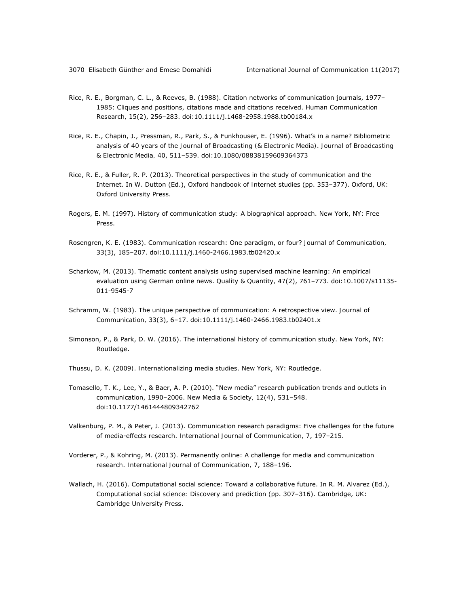- Rice, R. E., Borgman, C. L., & Reeves, B. (1988). Citation networks of communication journals, 1977– 1985: Cliques and positions, citations made and citations received. *Human Communication Research, 15*(2), 256–283. doi:10.1111/j.1468-2958.1988.tb00184.x
- Rice, R. E., Chapin, J., Pressman, R., Park, S., & Funkhouser, E. (1996). What's in a name? Bibliometric analysis of 40 years of the *Journal of Broadcasting (& Electronic Media)*. *Journal of Broadcasting & Electronic Media, 40*, 511–539. doi:10.1080/08838159609364373
- Rice, R. E., & Fuller, R. P. (2013). Theoretical perspectives in the study of communication and the Internet. In W. Dutton (Ed.), *Oxford handbook of Internet studies* (pp. 353–377). Oxford, UK: Oxford University Press.
- Rogers, E. M. (1997). *History of communication study: A biographical approach*. New York, NY: Free Press.
- Rosengren, K. E. (1983). Communication research: One paradigm, or four? *Journal of Communication, 33*(3), 185–207. doi:10.1111/j.1460-2466.1983.tb02420.x
- Scharkow, M. (2013). Thematic content analysis using supervised machine learning: An empirical evaluation using German online news. *Quality & Quantity, 47*(2), 761–773. doi:10.1007/s11135- 011-9545-7
- Schramm, W. (1983). The unique perspective of communication: A retrospective view. *Journal of Communication, 33*(3), 6–17. doi:10.1111/j.1460-2466.1983.tb02401.x
- Simonson, P., & Park, D. W. (2016). *The international history of communication study*. New York, NY: Routledge.
- Thussu, D. K. (2009*)*. *Internationalizing media studies*. New York, NY: Routledge.
- Tomasello, T. K., Lee, Y., & Baer, A. P. (2010). "New media" research publication trends and outlets in communication, 1990–2006. *New Media & Society, 12*(4), 531–548. doi:10.1177/1461444809342762
- Valkenburg, P. M., & Peter, J. (2013). Communication research paradigms: Five challenges for the future of media-effects research. *International Journal of Communication, 7*, 197–215.
- Vorderer, P., & Kohring, M. (2013). Permanently online: A challenge for media and communication research. *International Journal of Communication, 7*, 188–196.
- Wallach, H. (2016). Computational social science: Toward a collaborative future. In R. M. Alvarez (Ed.), *Computational social science: Discovery and prediction* (pp. 307–316). Cambridge, UK: Cambridge University Press.